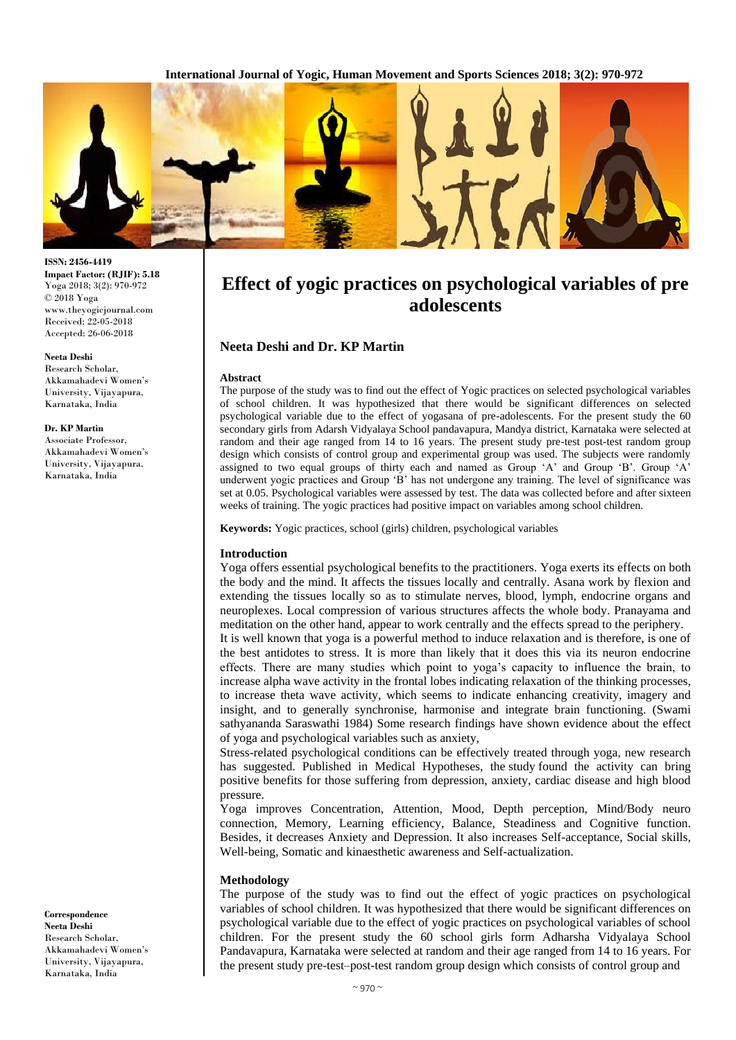

# **Effect of yogic practices on psychological variables of pre adolescents**

## **Neeta Deshi and Dr. KP Martin**

### **Abstract**

The purpose of the study was to find out the effect of Yogic practices on selected psychological variables of school children. It was hypothesized that there would be significant differences on selected psychological variable due to the effect of yogasana of pre-adolescents. For the present study the 60 secondary girls from Adarsh Vidyalaya School pandavapura, Mandya district, Karnataka were selected at random and their age ranged from 14 to 16 years. The present study pre-test post-test random group design which consists of control group and experimental group was used. The subjects were randomly assigned to two equal groups of thirty each and named as Group 'A' and Group 'B'. Group 'A' underwent yogic practices and Group 'B' has not undergone any training. The level of significance was set at 0.05. Psychological variables were assessed by test. The data was collected before and after sixteen weeks of training. The yogic practices had positive impact on variables among school children.

**Keywords:** Yogic practices, school (girls) children, psychological variables

#### **Introduction**

Yoga offers essential psychological benefits to the practitioners. Yoga exerts its effects on both the body and the mind. It affects the tissues locally and centrally. Asana work by flexion and extending the tissues locally so as to stimulate nerves, blood, lymph, endocrine organs and neuroplexes. Local compression of various structures affects the whole body. Pranayama and meditation on the other hand, appear to work centrally and the effects spread to the periphery. It is well known that yoga is a powerful method to induce relaxation and is therefore, is one of the best antidotes to stress. It is more than likely that it does this via its neuron endocrine effects. There are many studies which point to yoga's capacity to influence the brain, to increase alpha wave activity in the frontal lobes indicating relaxation of the thinking processes, to increase theta wave activity, which seems to indicate enhancing creativity, imagery and insight, and to generally synchronise, harmonise and integrate brain functioning. (Swami sathyananda Saraswathi 1984) Some research findings have shown evidence about the effect of yoga and psychological variables such as anxiety,

Stress-related psychological conditions can be effectively treated through yoga, new research has suggested. Published in Medical Hypotheses, the study found the activity can bring positive benefits for those suffering from depression, anxiety, cardiac disease and high blood pressure.

Yoga improves Concentration, Attention, Mood, Depth perception, Mind/Body neuro connection, Memory, Learning efficiency, Balance, Steadiness and Cognitive function. Besides, it decreases Anxiety and Depression. It also increases Self-acceptance, Social skills, Well-being, Somatic and kinaesthetic awareness and Self-actualization.

#### **Methodology**

The purpose of the study was to find out the effect of yogic practices on psychological variables of school children. It was hypothesized that there would be significant differences on psychological variable due to the effect of yogic practices on psychological variables of school children. For the present study the 60 school girls form Adharsha Vidyalaya School Pandavapura, Karnataka were selected at random and their age ranged from 14 to 16 years. For the present study pre-test–post-test random group design which consists of control group and

**ISSN: 2456-4419 Impact Factor: (RJIF): 5.18** Yoga 2018; 3(2): 970-972 © 2018 Yoga www.theyogicjournal.com Received: 22-05-2018 Accepted: 26-06-2018

#### **Neeta Deshi**

Research Scholar, Akkamahadevi Women's University, Vijayapura, Karnataka, India

### **Dr. KP Martin**

Associate Professor, Akkamahadevi Women's University, Vijayapura, Karnataka, India

**Correspondence Neeta Deshi** Research Scholar, Akkamahadevi Women's University, Vijayapura, Karnataka, India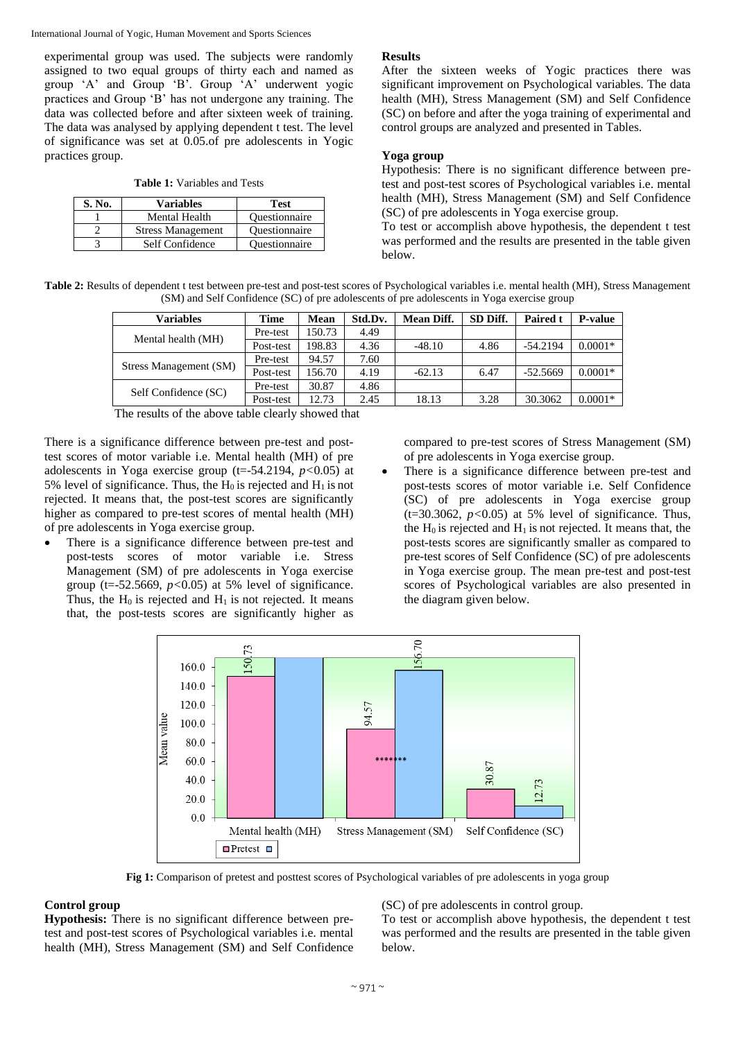International Journal of Yogic, Human Movement and Sports Sciences

experimental group was used. The subjects were randomly assigned to two equal groups of thirty each and named as group 'A' and Group 'B'. Group 'A' underwent yogic practices and Group 'B' has not undergone any training. The data was collected before and after sixteen week of training. The data was analysed by applying dependent t test. The level of significance was set at 0.05.of pre adolescents in Yogic practices group.

**Table 1:** Variables and Tests

| S. No. | <b>Variables</b>         | <b>Test</b>          |
|--------|--------------------------|----------------------|
|        | <b>Mental Health</b>     | <b>Ouestionnaire</b> |
|        | <b>Stress Management</b> | <b>Ouestionnaire</b> |
|        | Self Confidence          | <b>Ouestionnaire</b> |

## **Results**

After the sixteen weeks of Yogic practices there was significant improvement on Psychological variables. The data health (MH), Stress Management (SM) and Self Confidence (SC) on before and after the yoga training of experimental and control groups are analyzed and presented in Tables.

## **Yoga group**

Hypothesis: There is no significant difference between pretest and post-test scores of Psychological variables i.e. mental health (MH), Stress Management (SM) and Self Confidence (SC) of pre adolescents in Yoga exercise group.

To test or accomplish above hypothesis, the dependent t test was performed and the results are presented in the table given below.

**Table 2:** Results of dependent t test between pre-test and post-test scores of Psychological variables i.e. mental health (MH), Stress Management (SM) and Self Confidence (SC) of pre adolescents of pre adolescents in Yoga exercise group

| Variables              | Time      | Mean   | Std.Dv. | <b>Mean Diff.</b> | SD Diff. | <b>Paired t</b> | <b>P-value</b> |
|------------------------|-----------|--------|---------|-------------------|----------|-----------------|----------------|
| Mental health (MH)     | Pre-test  | 150.73 | 4.49    |                   |          |                 |                |
|                        | Post-test | 198.83 | 4.36    | $-48.10$          | 4.86     | $-54.2194$      | $0.0001*$      |
|                        | Pre-test  | 94.57  | 7.60    |                   |          |                 |                |
| Stress Management (SM) | Post-test | 156.70 | 4.19    | $-62.13$          | 6.47     | $-52.5669$      | $0.0001*$      |
| Self Confidence (SC)   | Pre-test  | 30.87  | 4.86    |                   |          |                 |                |
|                        | Post-test | 12.73  | 2.45    | 18.13             | 3.28     | 30.3062         | $0.0001*$      |

The results of the above table clearly showed that

There is a significance difference between pre-test and posttest scores of motor variable i.e. Mental health (MH) of pre adolescents in Yoga exercise group (t=-54.2194, *p<*0.05) at 5% level of significance. Thus, the  $H_0$  is rejected and  $H_1$  is not rejected. It means that, the post-test scores are significantly higher as compared to pre-test scores of mental health (MH) of pre adolescents in Yoga exercise group.

 There is a significance difference between pre-test and post-tests scores of motor variable i.e. Stress Management (SM) of pre adolescents in Yoga exercise group ( $t = -52.5669$ ,  $p < 0.05$ ) at 5% level of significance. Thus, the  $H_0$  is rejected and  $H_1$  is not rejected. It means that, the post-tests scores are significantly higher as

compared to pre-test scores of Stress Management (SM) of pre adolescents in Yoga exercise group.

 There is a significance difference between pre-test and post-tests scores of motor variable i.e. Self Confidence (SC) of pre adolescents in Yoga exercise group  $(t=30.3062, p<0.05)$  at 5% level of significance. Thus, the  $H_0$  is rejected and  $H_1$  is not rejected. It means that, the post-tests scores are significantly smaller as compared to pre-test scores of Self Confidence (SC) of pre adolescents in Yoga exercise group. The mean pre-test and post-test scores of Psychological variables are also presented in the diagram given below.



**Fig 1:** Comparison of pretest and posttest scores of Psychological variables of pre adolescents in yoga group

## **Control group**

**Hypothesis:** There is no significant difference between pretest and post-test scores of Psychological variables i.e. mental health (MH), Stress Management (SM) and Self Confidence

(SC) of pre adolescents in control group.

To test or accomplish above hypothesis, the dependent t test was performed and the results are presented in the table given below.